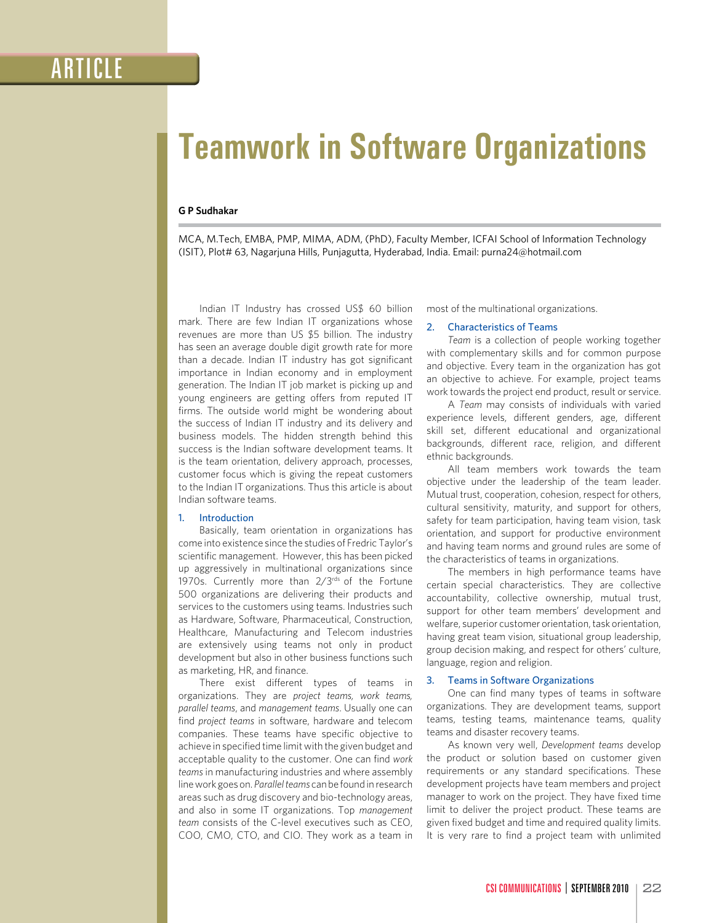# **Teamwork in Software Organizations**

## **G P Sudhakar**

MCA, M.Tech, EMBA, PMP, MIMA, ADM, (PhD), Faculty Member, ICFAI School of Information Technology (ISIT), Plot# 63, Nagarjuna Hills, Punjagutta, Hyderabad, India. Email: purna24@hotmail.com

Indian IT Industry has crossed US\$ 60 billion mark. There are few Indian IT organizations whose revenues are more than US \$5 billion. The industry has seen an average double digit growth rate for more than a decade. Indian IT industry has got significant importance in Indian economy and in employment generation. The Indian IT job market is picking up and young engineers are getting offers from reputed IT firms. The outside world might be wondering about the success of Indian IT industry and its delivery and business models. The hidden strength behind this success is the Indian software development teams. It is the team orientation, delivery approach, processes, customer focus which is giving the repeat customers to the Indian IT organizations. Thus this article is about Indian software teams.

# 1. Introduction

Basically, team orientation in organizations has come into existence since the studies of Fredric Taylor's scientific management. However, this has been picked up aggressively in multinational organizations since 1970s. Currently more than 2/3rds of the Fortune 500 organizations are delivering their products and services to the customers using teams. Industries such as Hardware, Software, Pharmaceutical, Construction, Healthcare, Manufacturing and Telecom industries are extensively using teams not only in product development but also in other business functions such as marketing, HR, and finance.

There exist different types of teams in organizations. They are *project teams, work teams, parallel teams*, and *management teams*. Usually one can find *project teams* in software, hardware and telecom companies. These teams have specific objective to achieve in specified time limit with the given budget and acceptable quality to the customer. One can find *work teams* in manufacturing industries and where assembly line work goes on. *Parallel teams* can be found in research areas such as drug discovery and bio-technology areas, and also in some IT organizations. Top *management team* consists of the C-level executives such as CEO, COO, CMO, CTO, and CIO. They work as a team in

most of the multinational organizations.

# 2. Characteristics of Teams

*Team* is a collection of people working together with complementary skills and for common purpose and objective. Every team in the organization has got an objective to achieve. For example, project teams work towards the project end product, result or service.

A *Team* may consists of individuals with varied experience levels, different genders, age, different skill set, different educational and organizational backgrounds, different race, religion, and different ethnic backgrounds.

All team members work towards the team objective under the leadership of the team leader. Mutual trust, cooperation, cohesion, respect for others, cultural sensitivity, maturity, and support for others, safety for team participation, having team vision, task orientation, and support for productive environment and having team norms and ground rules are some of the characteristics of teams in organizations.

The members in high performance teams have certain special characteristics. They are collective accountability, collective ownership, mutual trust, support for other team members' development and welfare, superior customer orientation, task orientation, having great team vision, situational group leadership, group decision making, and respect for others' culture, language, region and religion.

## 3. Teams in Software Organizations

One can find many types of teams in software organizations. They are development teams, support teams, testing teams, maintenance teams, quality teams and disaster recovery teams.

As known very well, *Development teams* develop the product or solution based on customer given requirements or any standard specifications. These development projects have team members and project manager to work on the project. They have fixed time limit to deliver the project product. These teams are given fixed budget and time and required quality limits. It is very rare to find a project team with unlimited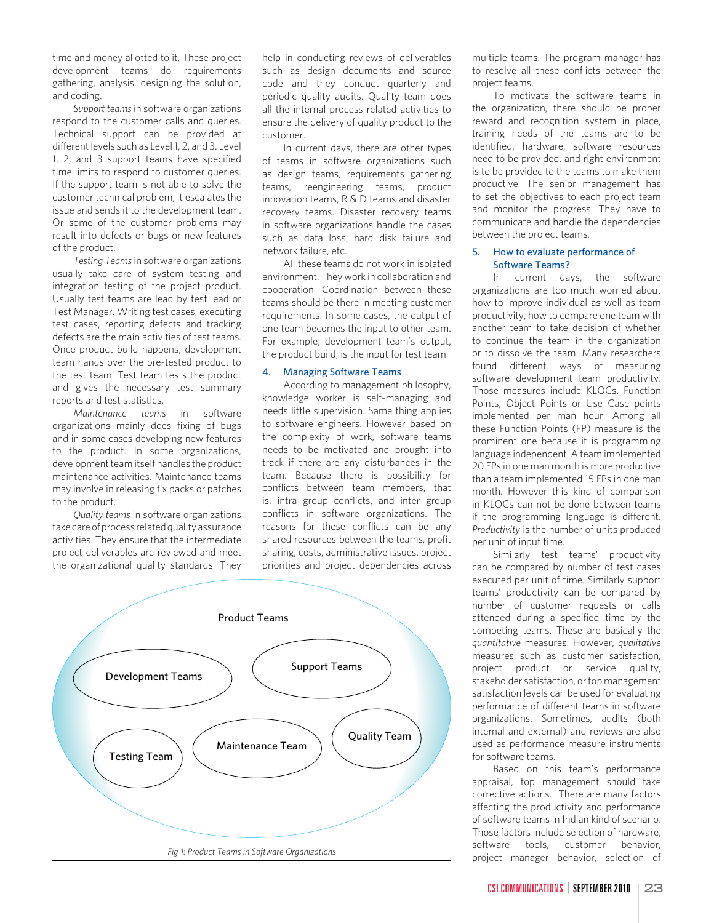time and money allotted to it. These project development teams do requirements gathering, analysis, designing the solution, and coding.

*Support teams* in software organizations respond to the customer calls and queries. Technical support can be provided at different levels such as Level 1, 2, and 3. Level 1, 2, and 3 support teams have specified time limits to respond to customer queries. If the support team is not able to solve the customer technical problem, it escalates the issue and sends it to the development team. Or some of the customer problems may result into defects or bugs or new features of the product.

*Testing Teams* in software organizations usually take care of system testing and integration testing of the project product. Usually test teams are lead by test lead or Test Manager. Writing test cases, executing test cases, reporting defects and tracking defects are the main activities of test teams. Once product build happens, development team hands over the pre-tested product to the test team. Test team tests the product and gives the necessary test summary reports and test statistics.

*Maintenance teams* in software organizations mainly does fixing of bugs and in some cases developing new features to the product. In some organizations, development team itself handles the product maintenance activities. Maintenance teams may involve in releasing fix packs or patches to the product.

*Quality teams* in software organizations take care of process related quality assurance activities. They ensure that the intermediate project deliverables are reviewed and meet the organizational quality standards. They

help in conducting reviews of deliverables such as design documents and source code and they conduct quarterly and periodic quality audits. Quality team does all the internal process related activities to ensure the delivery of quality product to the customer.

In current days, there are other types of teams in software organizations such as design teams, requirements gathering teams, reengineering teams, product innovation teams, R & D teams and disaster recovery teams. Disaster recovery teams in software organizations handle the cases such as data loss, hard disk failure and network failure, etc.

All these teams do not work in isolated environment. They work in collaboration and cooperation. Coordination between these teams should be there in meeting customer requirements. In some cases, the output of one team becomes the input to other team. For example, development team's output, the product build, is the input for test team.

# 4. Managing Software Teams

According to management philosophy, knowledge worker is self-managing and needs little supervision. Same thing applies to software engineers. However based on the complexity of work, software teams needs to be motivated and brought into track if there are any disturbances in the team. Because there is possibility for conflicts between team members, that is, intra group conflicts, and inter group conflicts in software organizations. The reasons for these conflicts can be any shared resources between the teams, profit sharing, costs, administrative issues, project priorities and project dependencies across



multiple teams. The program manager has to resolve all these conflicts between the project teams.

To motivate the software teams in the organization, there should be proper reward and recognition system in place, training needs of the teams are to be identified, hardware, software resources need to be provided, and right environment is to be provided to the teams to make them productive. The senior management has to set the objectives to each project team and monitor the progress. They have to communicate and handle the dependencies between the project teams.

## 5. How to evaluate performance of Software Teams?

In current days, the software organizations are too much worried about how to improve individual as well as team productivity, how to compare one team with another team to take decision of whether to continue the team in the organization or to dissolve the team. Many researchers found different ways of measuring software development team productivity. Those measures include KLOCs, Function Points, Object Points or Use Case points implemented per man hour. Among all these Function Points (FP) measure is the prominent one because it is programming language independent. A team implemented 20 FPs in one man month is more productive than a team implemented 15 FPs in one man month. However this kind of comparison in KLOCs can not be done between teams if the programming language is different. *Productivity* is the number of units produced per unit of input time.

Similarly test teams' productivity can be compared by number of test cases executed per unit of time. Similarly support teams' productivity can be compared by number of customer requests or calls attended during a specified time by the competing teams. These are basically the *quantitative* measures. However, *qualitative* measures such as customer satisfaction, project product or service quality, stakeholder satisfaction, or top management satisfaction levels can be used for evaluating performance of different teams in software organizations. Sometimes, audits (both internal and external) and reviews are also used as performance measure instruments for software teams.

Based on this team's performance appraisal, top management should take corrective actions. There are many factors affecting the productivity and performance of software teams in Indian kind of scenario. Those factors include selection of hardware, software tools, customer behavior, project manager behavior, selection of